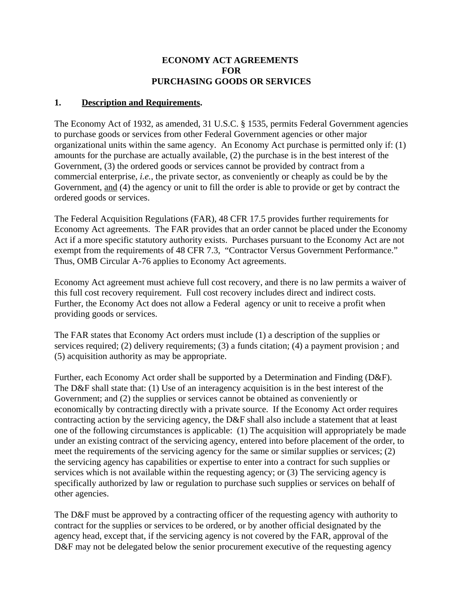## **ECONOMY ACT AGREEMENTS FOR PURCHASING GOODS OR SERVICES**

### **1. Description and Requirements.**

The Economy Act of 1932, as amended, 31 U.S.C. § 1535, permits Federal Government agencies to purchase goods or services from other Federal Government agencies or other major organizational units within the same agency. An Economy Act purchase is permitted only if: (1) amounts for the purchase are actually available, (2) the purchase is in the best interest of the Government, (3) the ordered goods or services cannot be provided by contract from a commercial enterprise, *i.e.*, the private sector, as conveniently or cheaply as could be by the Government, and (4) the agency or unit to fill the order is able to provide or get by contract the ordered goods or services.

The Federal Acquisition Regulations (FAR), 48 CFR 17.5 provides further requirements for Economy Act agreements. The FAR provides that an order cannot be placed under the Economy Act if a more specific statutory authority exists. Purchases pursuant to the Economy Act are not exempt from the requirements of 48 CFR 7.3, "Contractor Versus Government Performance." Thus, OMB Circular A-76 applies to Economy Act agreements.

Economy Act agreement must achieve full cost recovery, and there is no law permits a waiver of this full cost recovery requirement. Full cost recovery includes direct and indirect costs. Further, the Economy Act does not allow a Federal agency or unit to receive a profit when providing goods or services.

The FAR states that Economy Act orders must include (1) a description of the supplies or services required; (2) delivery requirements; (3) a funds citation; (4) a payment provision ; and (5) acquisition authority as may be appropriate.

Further, each Economy Act order shall be supported by a Determination and Finding (D&F). The D&F shall state that: (1) Use of an interagency acquisition is in the best interest of the Government; and (2) the supplies or services cannot be obtained as conveniently or economically by contracting directly with a private source. If the Economy Act order requires contracting action by the servicing agency, the D&F shall also include a statement that at least one of the following circumstances is applicable: (1) The acquisition will appropriately be made under an existing contract of the servicing agency, entered into before placement of the order, to meet the requirements of the servicing agency for the same or similar supplies or services; (2) the servicing agency has capabilities or expertise to enter into a contract for such supplies or services which is not available within the requesting agency; or (3) The servicing agency is specifically authorized by law or regulation to purchase such supplies or services on behalf of other agencies.

The D&F must be approved by a contracting officer of the requesting agency with authority to contract for the supplies or services to be ordered, or by another official designated by the agency head, except that, if the servicing agency is not covered by the FAR, approval of the D&F may not be delegated below the senior procurement executive of the requesting agency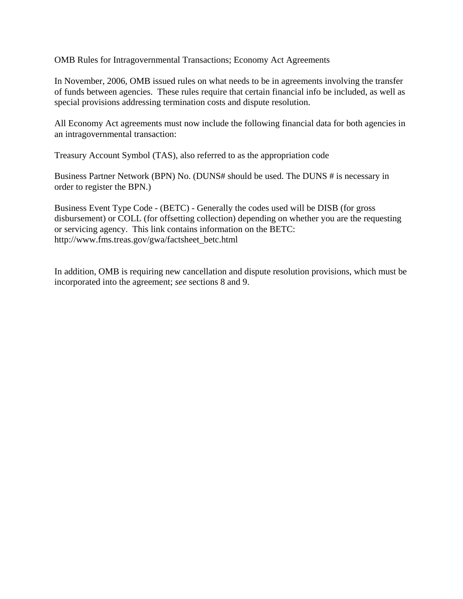OMB Rules for Intragovernmental Transactions; Economy Act Agreements

In November, 2006, OMB issued rules on what needs to be in agreements involving the transfer of funds between agencies. These rules require that certain financial info be included, as well as special provisions addressing termination costs and dispute resolution.

All Economy Act agreements must now include the following financial data for both agencies in an intragovernmental transaction:

Treasury Account Symbol (TAS), also referred to as the appropriation code

Business Partner Network (BPN) No. (DUNS# should be used. The DUNS # is necessary in order to register the BPN.)

Business Event Type Code - (BETC) - Generally the codes used will be DISB (for gross disbursement) or COLL (for offsetting collection) depending on whether you are the requesting or servicing agency. This link contains information on the BETC: http://www.fms.treas.gov/gwa/factsheet\_betc.html

In addition, OMB is requiring new cancellation and dispute resolution provisions, which must be incorporated into the agreement; *see* sections 8 and 9.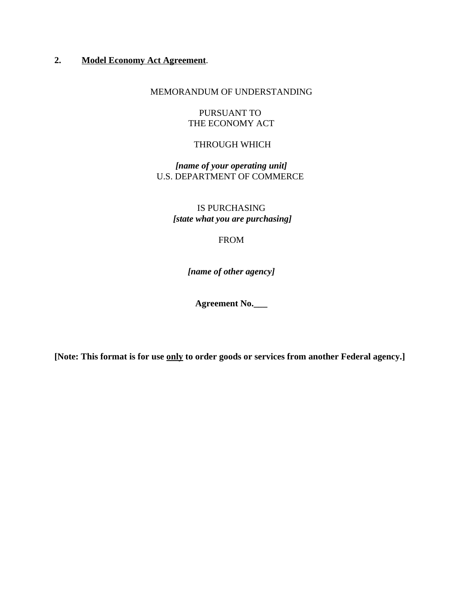# **2. Model Economy Act Agreement**.

#### MEMORANDUM OF UNDERSTANDING

PURSUANT TO THE ECONOMY ACT

#### THROUGH WHICH

*[name of your operating unit]* U.S. DEPARTMENT OF COMMERCE

> IS PURCHASING *[state what you are purchasing]*

> > FROM

*[name of other agency]*

**Agreement No.\_\_\_**

[Note: This format is for use **only** to order goods or services from another Federal agency.]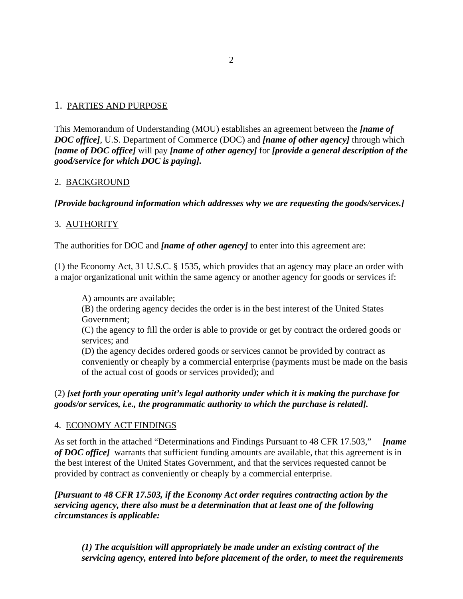# 1. PARTIES AND PURPOSE

This Memorandum of Understanding (MOU) establishes an agreement between the *[name of DOC office]*, U.S. Department of Commerce (DOC) and *[name of other agency]* through which *[name of DOC office]* will pay *[name of other agency]* for *[provide a general description of the good/service for which DOC is paying].*

# 2. BACKGROUND

*[Provide background information which addresses why we are requesting the goods/services.]*

# 3. AUTHORITY

The authorities for DOC and *[name of other agency]* to enter into this agreement are:

(1) the Economy Act, 31 U.S.C. § 1535, which provides that an agency may place an order with a major organizational unit within the same agency or another agency for goods or services if:

A) amounts are available;

(B) the ordering agency decides the order is in the best interest of the United States Government;

(C) the agency to fill the order is able to provide or get by contract the ordered goods or services; and

(D) the agency decides ordered goods or services cannot be provided by contract as conveniently or cheaply by a commercial enterprise (payments must be made on the basis of the actual cost of goods or services provided); and

# (2) *[set forth your operating unit's legal authority under which it is making the purchase for goods/or services, i.e., the programmatic authority to which the purchase is related].*

### 4. ECONOMY ACT FINDINGS

As set forth in the attached "Determinations and Findings Pursuant to 48 CFR 17.503," *[name of DOC office]* warrants that sufficient funding amounts are available, that this agreement is in the best interest of the United States Government, and that the services requested cannot be provided by contract as conveniently or cheaply by a commercial enterprise.

*[Pursuant to 48 CFR 17.503, if the Economy Act order requires contracting action by the servicing agency, there also must be a determination that at least one of the following circumstances is applicable:* 

*(1) The acquisition will appropriately be made under an existing contract of the servicing agency, entered into before placement of the order, to meet the requirements*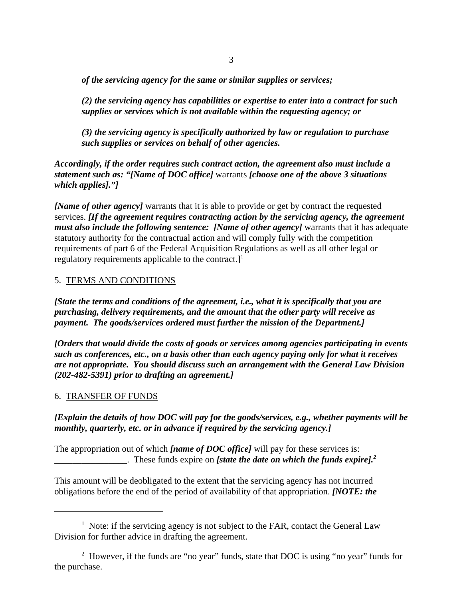*of the servicing agency for the same or similar supplies or services;*

*(2) the servicing agency has capabilities or expertise to enter into a contract for such supplies or services which is not available within the requesting agency; or*

*(3) the servicing agency is specifically authorized by law or regulation to purchase such supplies or services on behalf of other agencies.* 

*Accordingly, if the order requires such contract action, the agreement also must include a statement such as: "[Name of DOC office]* warrants *[choose one of the above 3 situations which applies]."]*

*[Name of other agency]* warrants that it is able to provide or get by contract the requested services. *[If the agreement requires contracting action by the servicing agency, the agreement must also include the following sentence: [Name of other agency]* warrants that it has adequate statutory authority for the contractual action and will comply fully with the competition requirements of part 6 of the Federal Acquisition Regulations as well as all other legal or regulatory requirements applicable to the contract. $]^{1}$ 

## 5. TERMS AND CONDITIONS

*[State the terms and conditions of the agreement, i.e., what it is specifically that you are purchasing, delivery requirements, and the amount that the other party will receive as payment. The goods/services ordered must further the mission of the Department.]* 

*[Orders that would divide the costs of goods or services among agencies participating in events such as conferences, etc., on a basis other than each agency paying only for what it receives are not appropriate. You should discuss such an arrangement with the General Law Division (202-482-5391) prior to drafting an agreement.]*

### 6. TRANSFER OF FUNDS

*[Explain the details of how DOC will pay for the goods/services, e.g., whether payments will be monthly, quarterly, etc. or in advance if required by the servicing agency.]*

The appropriation out of which *[name of DOC office]* will pay for these services is: **Example 2**. These funds expire on *[state the date on which the funds expire].<sup>2</sup>* 

This amount will be deobligated to the extent that the servicing agency has not incurred obligations before the end of the period of availability of that appropriation. *[NOTE: the*

<sup>&</sup>lt;sup>1</sup> Note: if the servicing agency is not subject to the FAR, contact the General Law Division for further advice in drafting the agreement.

<sup>&</sup>lt;sup>2</sup> However, if the funds are "no year" funds, state that DOC is using "no year" funds for the purchase.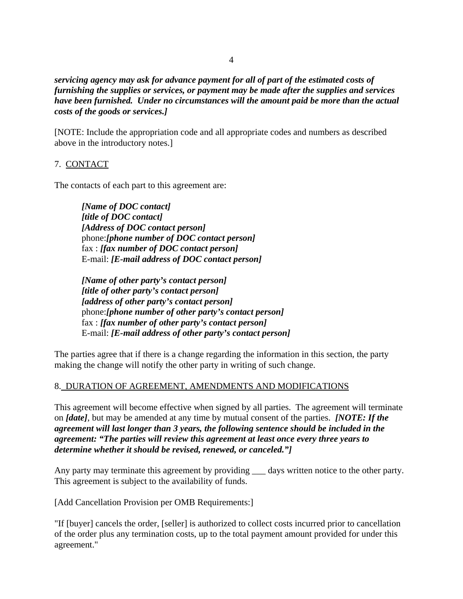*servicing agency may ask for advance payment for all of part of the estimated costs of furnishing the supplies or services, or payment may be made after the supplies and services have been furnished. Under no circumstances will the amount paid be more than the actual costs of the goods or services.]*

[NOTE: Include the appropriation code and all appropriate codes and numbers as described above in the introductory notes.]

## 7. CONTACT

The contacts of each part to this agreement are:

*[Name of DOC contact] [title of DOC contact] [Address of DOC contact person]* phone:*[phone number of DOC contact person]* fax : *[fax number of DOC contact person]* E-mail: *[E-mail address of DOC contact person]*

*[Name of other party's contact person] [title of other party's contact person] [address of other party's contact person]*  phone:*[phone number of other party's contact person]* fax : *[fax number of other party's contact person]* E-mail: *[E-mail address of other party's contact person]*

The parties agree that if there is a change regarding the information in this section, the party making the change will notify the other party in writing of such change.

### 8. DURATION OF AGREEMENT, AMENDMENTS AND MODIFICATIONS

This agreement will become effective when signed by all parties. The agreement will terminate on *[date]*, but may be amended at any time by mutual consent of the parties. *[NOTE: If the agreement will last longer than 3 years, the following sentence should be included in the agreement: "The parties will review this agreement at least once every three years to determine whether it should be revised, renewed, or canceled."]* 

Any party may terminate this agreement by providing days written notice to the other party. This agreement is subject to the availability of funds.

[Add Cancellation Provision per OMB Requirements:]

"If [buyer] cancels the order, [seller] is authorized to collect costs incurred prior to cancellation of the order plus any termination costs, up to the total payment amount provided for under this agreement."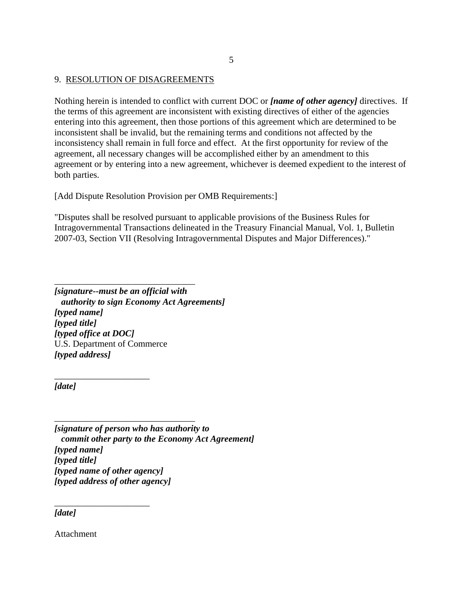#### 9. RESOLUTION OF DISAGREEMENTS

Nothing herein is intended to conflict with current DOC or *[name of other agency]* directives. If the terms of this agreement are inconsistent with existing directives of either of the agencies entering into this agreement, then those portions of this agreement which are determined to be inconsistent shall be invalid, but the remaining terms and conditions not affected by the inconsistency shall remain in full force and effect. At the first opportunity for review of the agreement, all necessary changes will be accomplished either by an amendment to this agreement or by entering into a new agreement, whichever is deemed expedient to the interest of both parties.

[Add Dispute Resolution Provision per OMB Requirements:]

"Disputes shall be resolved pursuant to applicable provisions of the Business Rules for Intragovernmental Transactions delineated in the Treasury Financial Manual, Vol. 1, Bulletin 2007-03, Section VII (Resolving Intragovernmental Disputes and Major Differences)."

\_\_\_\_\_\_\_\_\_\_\_\_\_\_\_\_\_\_\_\_\_\_\_\_\_\_\_\_\_\_\_ *[signature--must be an official with authority to sign Economy Act Agreements] [typed name] [typed title] [typed office at DOC]* U.S. Department of Commerce *[typed address]*

*[date]*

\_\_\_\_\_\_\_\_\_\_\_\_\_\_\_\_\_\_\_\_\_

\_\_\_\_\_\_\_\_\_\_\_\_\_\_\_\_\_\_\_\_\_

\_\_\_\_\_\_\_\_\_\_\_\_\_\_\_\_\_\_\_\_\_\_\_\_\_\_\_\_\_\_\_

*[signature of person who has authority to commit other party to the Economy Act Agreement] [typed name] [typed title] [typed name of other agency] [typed address of other agency]*

*[date]*

Attachment